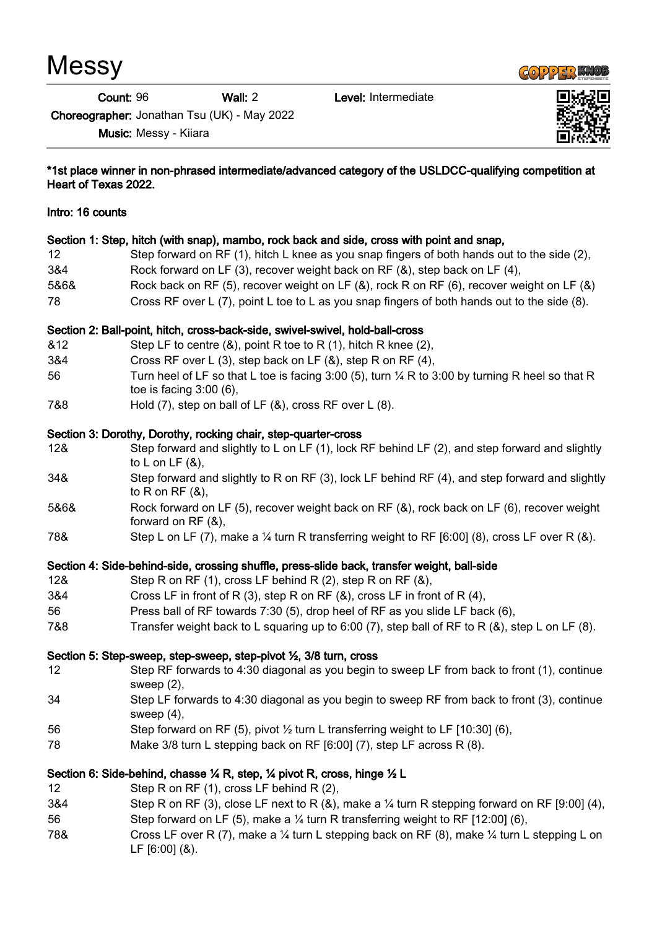**Messy** 

Count: 96 Wall: 2 Level: Intermediate



Choreographer: Jonathan Tsu (UK) - May 2022

Music: Messy - Kiiara



# \*1st place winner in non-phrased intermediate/advanced category of the USLDCC-qualifying competition at Heart of Texas 2022. Intro: 16 counts Section 1: Step, hitch (with snap), mambo, rock back and side, cross with point and snap, 12 Step forward on RF (1), hitch L knee as you snap fingers of both hands out to the side (2), 3&4 Rock forward on LF (3), recover weight back on RF (&), step back on LF (4), 5&6& Rock back on RF (5), recover weight on LF (&), rock R on RF (6), recover weight on LF (&) 78 Cross RF over L (7), point L toe to L as you snap fingers of both hands out to the side (8). Section 2: Ball-point, hitch, cross-back-side, swivel-swivel, hold-ball-cross &12 Step LF to centre (&), point R toe to R (1), hitch R knee (2), 3&4 Cross RF over L (3), step back on LF (&), step R on RF (4), 56 Turn heel of LF so that L toe is facing 3:00 (5), turn ¼ R to 3:00 by turning R heel so that R toe is facing 3:00 (6), 7&8 Hold (7), step on ball of LF (&), cross RF over L (8). Section 3: Dorothy, Dorothy, rocking chair, step-quarter-cross 12& Step forward and slightly to L on LF (1), lock RF behind LF (2), and step forward and slightly to L on LF  $(8)$ , 34& Step forward and slightly to R on RF (3), lock LF behind RF (4), and step forward and slightly to  $R$  on  $RF(8)$ , 5&6& Rock forward on LF (5), recover weight back on RF (&), rock back on LF (6), recover weight forward on RF (&), 78& Step L on LF (7), make a ¼ turn R transferring weight to RF [6:00] (8), cross LF over R (&). Section 4: Side-behind-side, crossing shuffle, press-slide back, transfer weight, ball-side 12& Step R on RF (1), cross LF behind R (2), step R on RF (&), 3&4 Cross LF in front of R (3), step R on RF (&), cross LF in front of R (4), 56 Press ball of RF towards 7:30 (5), drop heel of RF as you slide LF back (6), 7&8 Transfer weight back to L squaring up to 6:00 (7), step ball of RF to R (&), step L on LF (8). Section 5: Step-sweep, step-sweep, step-pivot ½, 3/8 turn, cross 12 Step RF forwards to 4:30 diagonal as you begin to sweep LF from back to front (1), continue sweep (2), 34 Step LF forwards to 4:30 diagonal as you begin to sweep RF from back to front (3), continue sweep (4), 56 Step forward on RF (5), pivot ½ turn L transferring weight to LF [10:30] (6), 78 Make 3/8 turn L stepping back on RF [6:00] (7), step LF across R (8). Section 6: Side-behind, chasse ¼ R, step, ¼ pivot R, cross, hinge ½ L 12 Step R on RF (1), cross LF behind R (2), 3&4 Step R on RF (3), close LF next to R (&), make a  $\frac{1}{4}$  turn R stepping forward on RF [9:00] (4), 56 Step forward on LF (5), make a ¼ turn R transferring weight to RF [12:00] (6), 78& Cross LF over R (7), make a ¼ turn L stepping back on RF (8), make ¼ turn L stepping L on LF [6:00] (&).